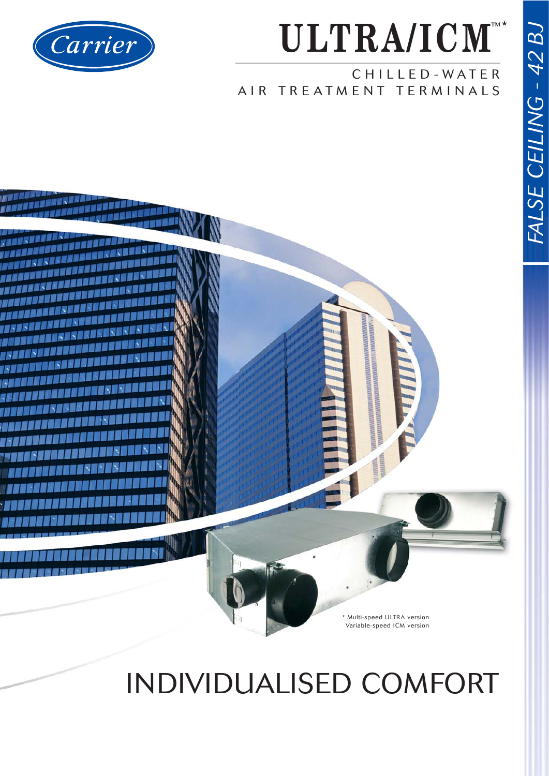

### **ULTRA/ICM TM** \*

CHILLED-WATER AIR TREATMENT TERMINALS



## INDIVIDUALISED COMFORT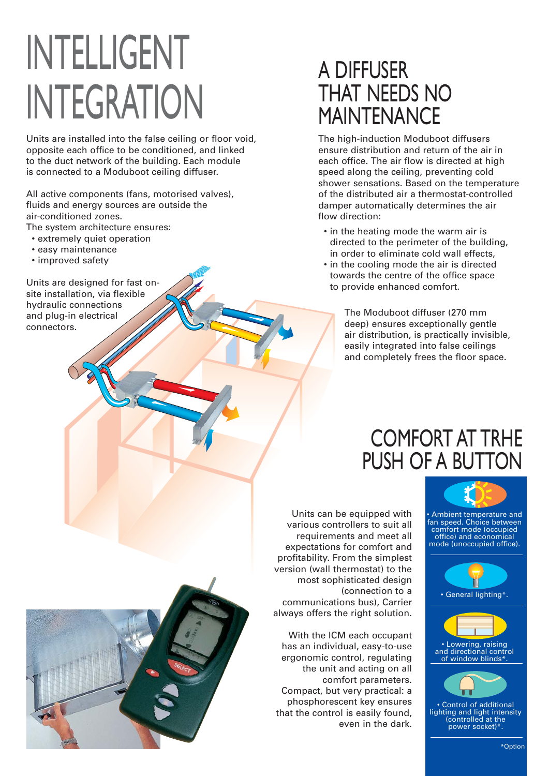# INTELLIGENT INTEGRATION

Units are installed into the false ceiling or floor void, opposite each office to be conditioned, and linked to the duct network of the building. Each module is connected to a Moduboot ceiling diffuser.

All active components (fans, motorised valves), fluids and energy sources are outside the air-conditioned zones.

The system architecture ensures:

- extremely quiet operation
- easy maintenance
- improved safety

Units are designed for fast onsite installation, via flexible hydraulic connections and plug-in electrical connectors.

## A DIFFUSER THAT NEEDS NO MAINTENANCE

The high-induction Moduboot diffusers ensure distribution and return of the air in each office. The air flow is directed at high speed along the ceiling, preventing cold shower sensations. Based on the temperature of the distributed air a thermostat-controlled damper automatically determines the air flow direction:

- in the heating mode the warm air is directed to the perimeter of the building, in order to eliminate cold wall effects,
- in the cooling mode the air is directed towards the centre of the office space to provide enhanced comfort.

The Moduboot diffuser (270 mm deep) ensures exceptionally gentle air distribution, is practically invisible, easily integrated into false ceilings and completely frees the floor space.

## COMFORT AT TRHE PUSH OF A BUTTON

Units can be equipped with various controllers to suit all requirements and meet all expectations for comfort and profitability. From the simplest version (wall thermostat) to the most sophisticated design

communications bus), Carrier always offers the right solution.

With the ICM each occupant has an individual, easy-to-use ergonomic control, regulating the unit and acting on all comfort parameters.

Compact, but very practical: a phosphorescent key ensures that the control is easily found,

(connection to a

even in the dark.



• Ambient temperature and fan speed. Choice between comfort mode (occupied office) and economical mode (unoccupied office).





• Lowering, raising and directional control of window blinds\*.



• Control of additional lighting and light intensity (controlled at the power socket)\*.

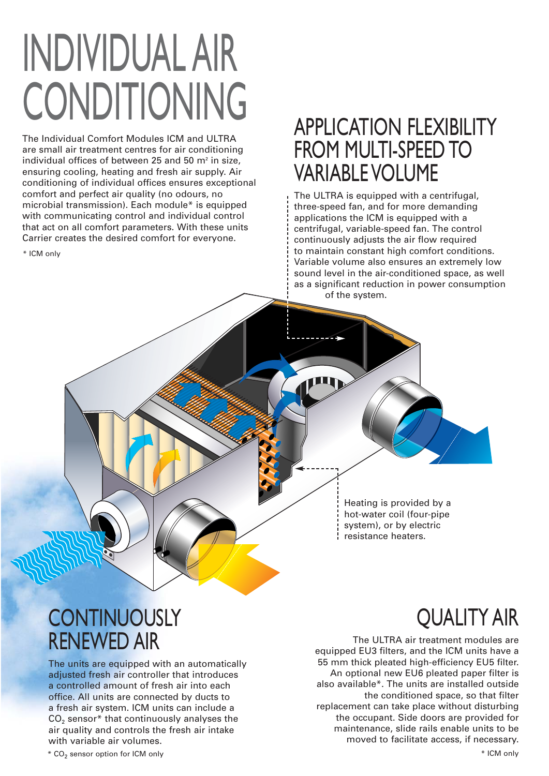# INDIVIDUAL AIR CONDITIONING APPLICATION FLEXIBILITY

The Individual Comfort Modules ICM and ULTRA are small air treatment centres for air conditioning individual offices of between 25 and 50  $m<sup>2</sup>$  in size, ensuring cooling, heating and fresh air supply. Air conditioning of individual offices ensures exceptional comfort and perfect air quality (no odours, no microbial transmission). Each module\* is equipped with communicating control and individual control that act on all comfort parameters. With these units Carrier creates the desired comfort for everyone.

\* ICM only

## FROM MULTI-SPEED TO VARIABLE VOLUME

The ULTRA is equipped with a centrifugal, three-speed fan, and for more demanding applications the ICM is equipped with a centrifugal, variable-speed fan. The control continuously adjusts the air flow required to maintain constant high comfort conditions. Variable volume also ensures an extremely low sound level in the air-conditioned space, as well as a significant reduction in power consumption of the system.

> Heating is provided by a hot-water coil (four-pipe system), or by electric resistance heaters.

## **CONTINUOUSLY** RENEWED AIR

The units are equipped with an automatically adjusted fresh air controller that introduces a controlled amount of fresh air into each office. All units are connected by ducts to a fresh air system. ICM units can include a  $CO<sub>2</sub>$  sensor\* that continuously analyses the air quality and controls the fresh air intake with variable air volumes.

#### \* CO<sub>2</sub> sensor option for ICM only \*  $^*$  ICM only

## QUALITY AIR

The ULTRA air treatment modules are equipped EU3 filters, and the ICM units have a 55 mm thick pleated high-efficiency EU5 filter. An optional new EU6 pleated paper filter is also available\*. The units are installed outside the conditioned space, so that filter replacement can take place without disturbing the occupant. Side doors are provided for maintenance, slide rails enable units to be moved to facilitate access, if necessary.